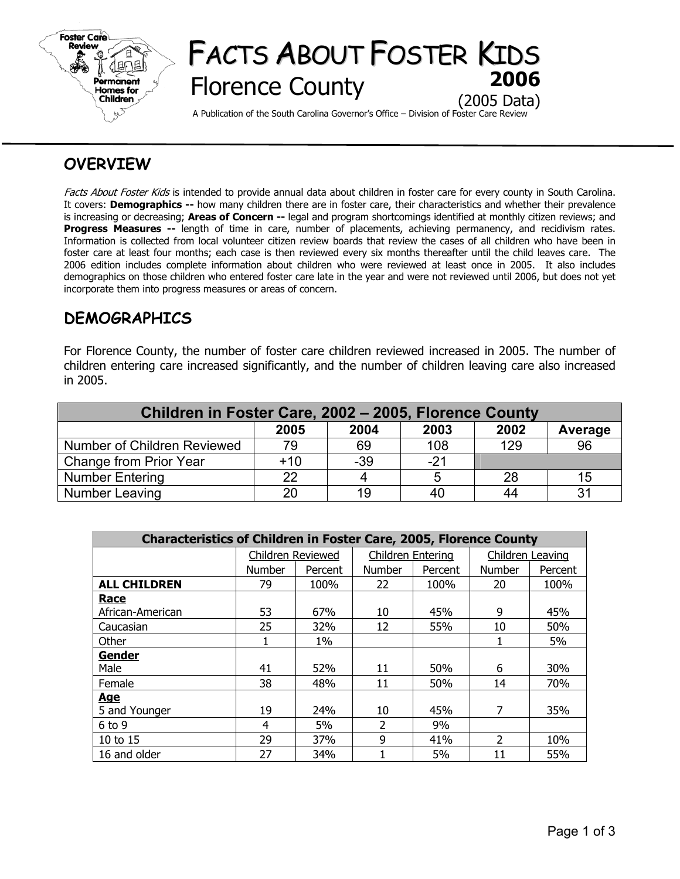

# FACTS ABOUT FOSTER KIDS **Florence County** (2005 Data)

A Publication of the South Carolina Governor's Office – Division of Foster Care Review

## **OVERVIEW**

Facts About Foster Kids is intended to provide annual data about children in foster care for every county in South Carolina. It covers: **Demographics --** how many children there are in foster care, their characteristics and whether their prevalence is increasing or decreasing; **Areas of Concern --** legal and program shortcomings identified at monthly citizen reviews; and **Progress Measures --** length of time in care, number of placements, achieving permanency, and recidivism rates. Information is collected from local volunteer citizen review boards that review the cases of all children who have been in foster care at least four months; each case is then reviewed every six months thereafter until the child leaves care. The 2006 edition includes complete information about children who were reviewed at least once in 2005. It also includes demographics on those children who entered foster care late in the year and were not reviewed until 2006, but does not yet incorporate them into progress measures or areas of concern.

## **DEMOGRAPHICS**

For Florence County, the number of foster care children reviewed increased in 2005. The number of children entering care increased significantly, and the number of children leaving care also increased in 2005.

| Children in Foster Care, 2002 - 2005, Florence County |       |       |       |      |         |  |  |  |
|-------------------------------------------------------|-------|-------|-------|------|---------|--|--|--|
|                                                       | 2005  | 2004  | 2003  | 2002 | Average |  |  |  |
| Number of Children Reviewed                           | 79    | 69    | 108   | 129  | 96      |  |  |  |
| Change from Prior Year                                | $+10$ | $-39$ | $-21$ |      |         |  |  |  |
| <b>Number Entering</b>                                | 22    |       |       | 28   | 15      |  |  |  |
| Number Leaving                                        | 20    | 19    | 40    | 44   | 31      |  |  |  |

| <b>Characteristics of Children in Foster Care, 2005, Florence County</b> |                   |         |                          |         |                         |         |  |  |
|--------------------------------------------------------------------------|-------------------|---------|--------------------------|---------|-------------------------|---------|--|--|
|                                                                          | Children Reviewed |         | <b>Children Entering</b> |         | <b>Children Leaving</b> |         |  |  |
|                                                                          | <b>Number</b>     | Percent | <b>Number</b>            | Percent | <b>Number</b>           | Percent |  |  |
| <b>ALL CHILDREN</b>                                                      | 79                | 100%    | 22                       | 100%    | 20                      | 100%    |  |  |
| <b>Race</b>                                                              |                   |         |                          |         |                         |         |  |  |
| African-American                                                         | 53                | 67%     | 10                       | 45%     | 9                       | 45%     |  |  |
| Caucasian                                                                | 25                | 32%     | 12                       | 55%     | 10                      | 50%     |  |  |
| Other                                                                    |                   | $1\%$   |                          |         | J.                      | 5%      |  |  |
| Gender                                                                   |                   |         |                          |         |                         |         |  |  |
| Male                                                                     | 41                | 52%     | 11                       | 50%     | 6                       | 30%     |  |  |
| Female                                                                   | 38                | 48%     | 11                       | 50%     | 14                      | 70%     |  |  |
| <u>Age</u>                                                               |                   |         |                          |         |                         |         |  |  |
| 5 and Younger                                                            | 19                | 24%     | 10                       | 45%     | 7                       | 35%     |  |  |
| $6$ to 9                                                                 | 4                 | 5%      | $\overline{2}$           | 9%      |                         |         |  |  |
| 10 to 15                                                                 | 29                | 37%     | 9                        | 41%     | 2                       | 10%     |  |  |
| 16 and older                                                             | 27                | 34%     |                          | 5%      | 11                      | 55%     |  |  |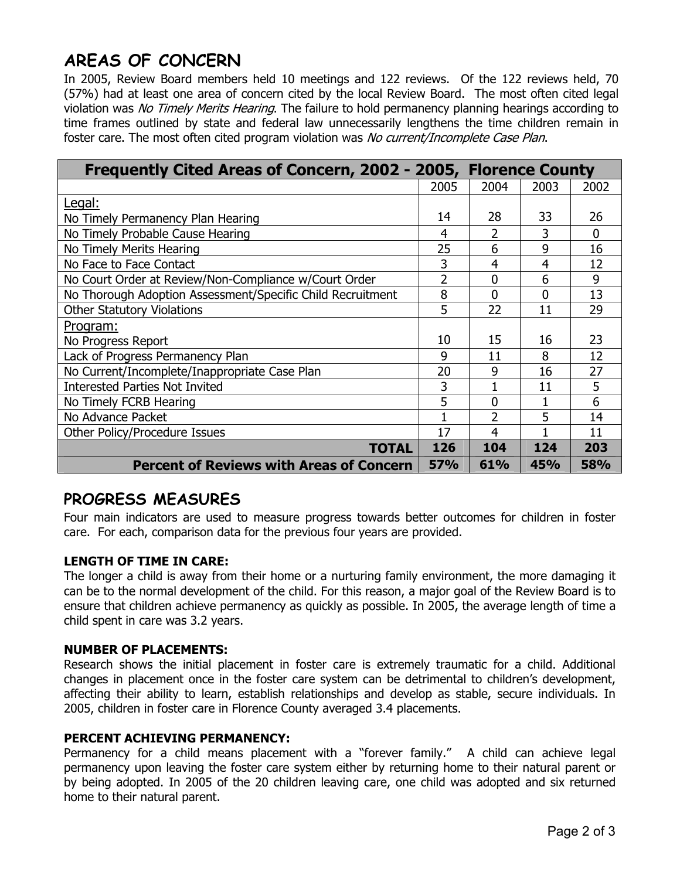## **AREAS OF CONCERN**

In 2005, Review Board members held 10 meetings and 122 reviews. Of the 122 reviews held, 70 (57%) had at least one area of concern cited by the local Review Board. The most often cited legal violation was No Timely Merits Hearing. The failure to hold permanency planning hearings according to time frames outlined by state and federal law unnecessarily lengthens the time children remain in foster care. The most often cited program violation was No current/Incomplete Case Plan.

| Frequently Cited Areas of Concern, 2002 - 2005, Florence County |            |                  |      |            |  |
|-----------------------------------------------------------------|------------|------------------|------|------------|--|
|                                                                 | 2005       | 2004             | 2003 | 2002       |  |
| Legal:                                                          |            |                  |      |            |  |
| No Timely Permanency Plan Hearing                               | 14         | 28               | 33   | 26         |  |
| No Timely Probable Cause Hearing                                |            | 2                | 3    | $\Omega$   |  |
| No Timely Merits Hearing                                        |            | 6                | 9    | 16         |  |
| No Face to Face Contact                                         |            | 4                | 4    | 12         |  |
| No Court Order at Review/Non-Compliance w/Court Order           | 2          | 0                | 6    | 9          |  |
| No Thorough Adoption Assessment/Specific Child Recruitment      |            | $\Omega$         | 0    | 13         |  |
| <b>Other Statutory Violations</b>                               |            | 22               | 11   | 29         |  |
| Program:                                                        |            |                  |      |            |  |
| No Progress Report                                              | 10         | 15               | 16   | 23         |  |
| Lack of Progress Permanency Plan                                | 9          | 11               | 8    | 12         |  |
| No Current/Incomplete/Inappropriate Case Plan                   | 20         | 9                | 16   | 27         |  |
| <b>Interested Parties Not Invited</b>                           | 3          |                  | 11   | 5          |  |
| No Timely FCRB Hearing                                          | 5          | $\boldsymbol{0}$ |      | 6          |  |
| No Advance Packet                                               |            | フ                | 5    | 14         |  |
| Other Policy/Procedure Issues                                   | 17         | 4                |      | 11         |  |
| TOTAL                                                           | 126        | 104              | 124  | 203        |  |
| <b>Percent of Reviews with Areas of Concern</b>                 | <b>57%</b> | 61%              | 45%  | <b>58%</b> |  |

## **PROGRESS MEASURES**

Four main indicators are used to measure progress towards better outcomes for children in foster care. For each, comparison data for the previous four years are provided.

### **LENGTH OF TIME IN CARE:**

The longer a child is away from their home or a nurturing family environment, the more damaging it can be to the normal development of the child. For this reason, a major goal of the Review Board is to ensure that children achieve permanency as quickly as possible. In 2005, the average length of time a child spent in care was 3.2 years.

### **NUMBER OF PLACEMENTS:**

Research shows the initial placement in foster care is extremely traumatic for a child. Additional changes in placement once in the foster care system can be detrimental to children's development, affecting their ability to learn, establish relationships and develop as stable, secure individuals. In 2005, children in foster care in Florence County averaged 3.4 placements.

### **PERCENT ACHIEVING PERMANENCY:**

Permanency for a child means placement with a "forever family." A child can achieve legal permanency upon leaving the foster care system either by returning home to their natural parent or by being adopted. In 2005 of the 20 children leaving care, one child was adopted and six returned home to their natural parent.